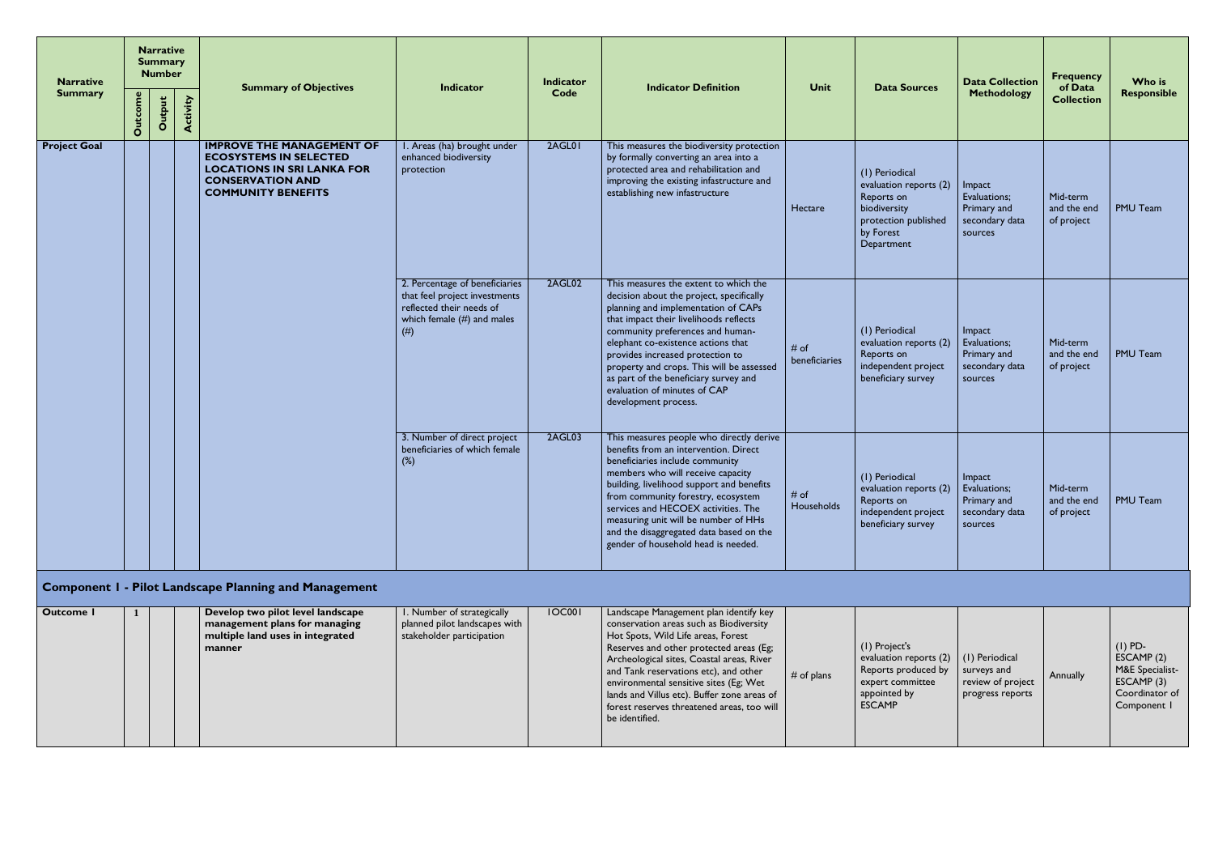| <b>Narrative</b><br><b>Summary</b> |                | <b>Number</b> | <b>Narrative</b><br><b>Summary</b> | <b>Summary of Objectives</b>                                                                                                                                   | Indicator                                                                                                                            | <b>Indicator</b><br>Code | <b>Indicator Definition</b>                                                                                                                                                                                                                                                                                                                                                                                                    | Unit                  | <b>Data Sources</b>                                                                                                       | <b>Data Collection</b><br>Methodology                              | <b>Frequency</b><br>of Data           | Who is<br>Responsible |
|------------------------------------|----------------|---------------|------------------------------------|----------------------------------------------------------------------------------------------------------------------------------------------------------------|--------------------------------------------------------------------------------------------------------------------------------------|--------------------------|--------------------------------------------------------------------------------------------------------------------------------------------------------------------------------------------------------------------------------------------------------------------------------------------------------------------------------------------------------------------------------------------------------------------------------|-----------------------|---------------------------------------------------------------------------------------------------------------------------|--------------------------------------------------------------------|---------------------------------------|-----------------------|
|                                    | <b>Outcome</b> | Output        | Activity                           |                                                                                                                                                                |                                                                                                                                      |                          |                                                                                                                                                                                                                                                                                                                                                                                                                                |                       |                                                                                                                           |                                                                    | <b>Collection</b>                     |                       |
| <b>Project Goal</b>                |                |               |                                    | <b>IMPROVE THE MANAGEMENT OF</b><br><b>ECOSYSTEMS IN SELECTED</b><br><b>LOCATIONS IN SRI LANKA FOR</b><br><b>CONSERVATION AND</b><br><b>COMMUNITY BENEFITS</b> | I. Areas (ha) brought under<br>enhanced biodiversity<br>protection                                                                   | 2AGL01                   | This measures the biodiversity protection<br>by formally converting an area into a<br>protected area and rehabilitation and<br>improving the existing infastructure and<br>establishing new infastructure                                                                                                                                                                                                                      | Hectare               | (1) Periodical<br>evaluation reports (2)<br>Reports on<br>biodiversity<br>protection published<br>by Forest<br>Department | Impact<br>Evaluations;<br>Primary and<br>secondary data<br>sources | Mid-term<br>and the end<br>of project | PMU Team              |
|                                    |                |               |                                    |                                                                                                                                                                | 2. Percentage of beneficiaries<br>that feel project investments<br>reflected their needs of<br>which female $(\#)$ and males<br>(# ) | 2AGL02                   | This measures the extent to which the<br>decision about the project, specifically<br>planning and implementation of CAPs<br>that impact their livelihoods reflects<br>community preferences and human-<br>elephant co-existence actions that<br>provides increased protection to<br>property and crops. This will be assessed<br>as part of the beneficiary survey and<br>evaluation of minutes of CAP<br>development process. | # of<br>beneficiaries | (1) Periodical<br>evaluation reports (2)<br>Reports on<br>independent project<br>beneficiary survey                       | Impact<br>Evaluations;<br>Primary and<br>secondary data<br>sources | Mid-term<br>and the end<br>of project | PMU Team              |
|                                    |                |               |                                    |                                                                                                                                                                | 3. Number of direct project<br>beneficiaries of which female<br>$(\%)$                                                               | 2AGL03                   | This measures people who directly derive<br>benefits from an intervention. Direct<br>beneficiaries include community<br>members who will receive capacity<br>building, livelihood support and benefits<br>from community forestry, ecosystem<br>services and HECOEX activities. The<br>measuring unit will be number of HHs<br>and the disaggregated data based on the<br>gender of household head is needed.                  | # of<br>Households    | (1) Periodical<br>evaluation reports (2)<br>Reports on<br>independent project<br>beneficiary survey                       | Impact<br>Evaluations;<br>Primary and<br>secondary data<br>sources | Mid-term<br>and the end<br>of project | <b>PMU Team</b>       |
|                                    |                |               |                                    | <b>Component I - Pilot Landscape Planning and Management</b>                                                                                                   |                                                                                                                                      |                          |                                                                                                                                                                                                                                                                                                                                                                                                                                |                       |                                                                                                                           |                                                                    |                                       |                       |

## **Component 1 - Pilot Landscape Planning and Management**

| Outcome I |  | Develop two pilot level landscape<br>management plans for managing<br>multiple land uses in integrated<br>manner | I. Number of strategically<br>planned pilot landscapes with<br>stakeholder participation | <b>IOC001</b> | Landscape Management plan identify key<br>conservation areas such as Biodiversity<br>Hot Spots, Wild Life areas, Forest<br>Reserves and other protected areas (Eg;<br>Archeological sites, Coastal areas, River<br>and Tank reservations etc), and other<br>environmental sensitive sites (Eg; Wet<br>Iands and Villus etc). Buffer zone areas of<br>forest reserves threatened areas, too will<br>be identified. | $#$ of plans | $ $ (1) Project's<br>evaluation reports (2)   (1) Periodical<br>Reports produced by<br>expert committee<br>appointed by<br><b>LESCAMP</b> | surveys and<br>review of project<br>progress reports | Annually | $(I)$ PD-<br>ESCAMP(2)<br>M&E Specialist-<br>ESCAMP(3)<br>Coordinator of<br>Component I |
|-----------|--|------------------------------------------------------------------------------------------------------------------|------------------------------------------------------------------------------------------|---------------|-------------------------------------------------------------------------------------------------------------------------------------------------------------------------------------------------------------------------------------------------------------------------------------------------------------------------------------------------------------------------------------------------------------------|--------------|-------------------------------------------------------------------------------------------------------------------------------------------|------------------------------------------------------|----------|-----------------------------------------------------------------------------------------|
|-----------|--|------------------------------------------------------------------------------------------------------------------|------------------------------------------------------------------------------------------|---------------|-------------------------------------------------------------------------------------------------------------------------------------------------------------------------------------------------------------------------------------------------------------------------------------------------------------------------------------------------------------------------------------------------------------------|--------------|-------------------------------------------------------------------------------------------------------------------------------------------|------------------------------------------------------|----------|-----------------------------------------------------------------------------------------|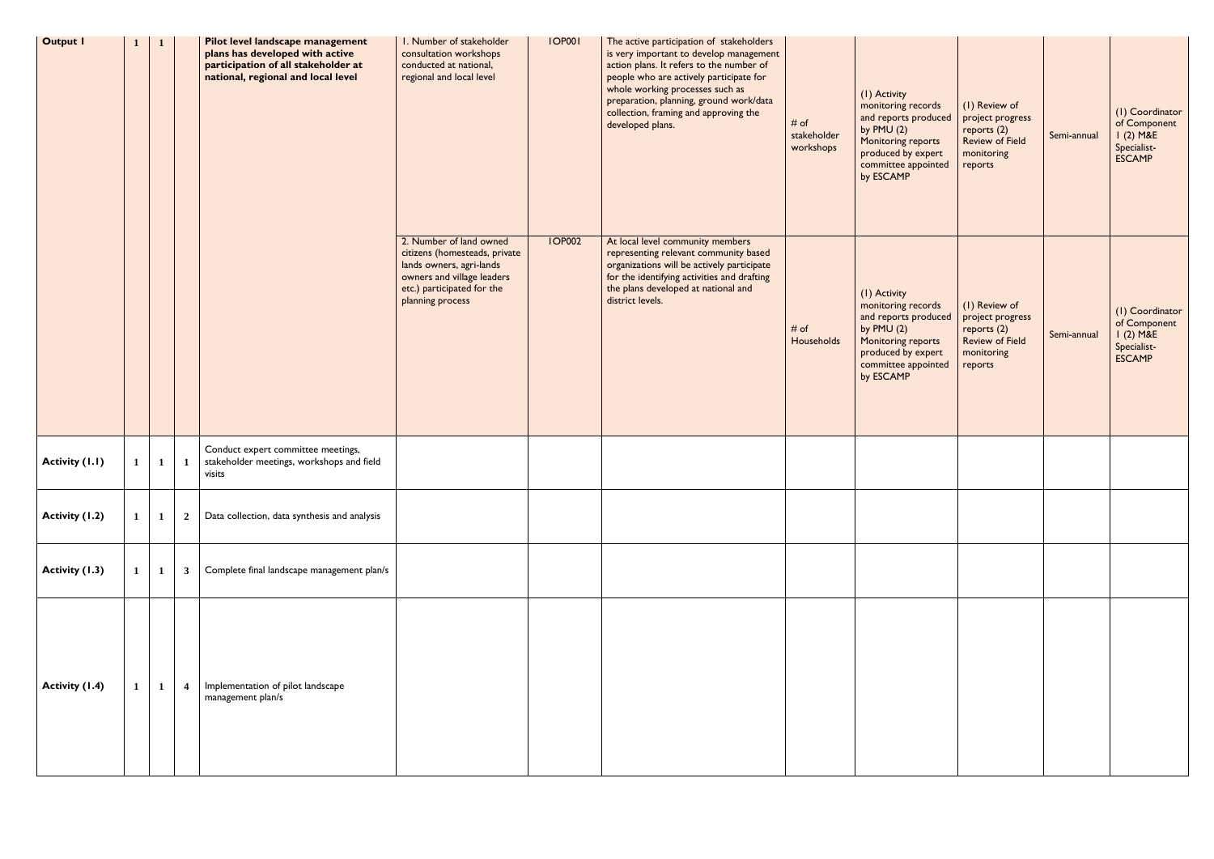| <b>Output I</b> | $\mathbf{1}$ |                         | Pilot level landscape management<br>plans has developed with active<br>participation of all stakeholder at<br>national, regional and local level | I. Number of stakeholder<br>consultation workshops<br>conducted at national,<br>regional and local level                                                             | <b>IOP001</b> | The active participation of stakeholders<br>is very important to develop management<br>action plans. It refers to the number of<br>people who are actively participate for<br>whole working processes such as<br>preparation, planning, ground work/data<br>collection, framing and approving the<br>developed plans. | # of<br>stakeholder<br>workshops | (I) Activity<br>monitoring records<br>and reports produced<br>by $PMU(2)$<br>Monitoring reports<br>produced by expert<br>committee appointed<br>by ESCAMP | (I) Review of<br>project progress<br>reports (2)<br><b>Review of Field</b><br>monitoring<br>reports   | Semi-annual | (I) Coordinator<br>of Component<br>$1(2)$ M&E<br>Specialist-<br><b>ESCAMP</b> |
|-----------------|--------------|-------------------------|--------------------------------------------------------------------------------------------------------------------------------------------------|----------------------------------------------------------------------------------------------------------------------------------------------------------------------|---------------|-----------------------------------------------------------------------------------------------------------------------------------------------------------------------------------------------------------------------------------------------------------------------------------------------------------------------|----------------------------------|-----------------------------------------------------------------------------------------------------------------------------------------------------------|-------------------------------------------------------------------------------------------------------|-------------|-------------------------------------------------------------------------------|
|                 |              |                         |                                                                                                                                                  | 2. Number of land owned<br>citizens (homesteads, private<br>lands owners, agri-lands<br>owners and village leaders<br>etc.) participated for the<br>planning process | <b>IOP002</b> | At local level community members<br>representing relevant community based<br>organizations will be actively participate<br>for the identifying activities and drafting<br>the plans developed at national and<br>district levels.                                                                                     | # of<br>Households               | (I) Activity<br>monitoring records<br>and reports produced<br>by $PMU(2)$<br>Monitoring reports<br>produced by expert<br>committee appointed<br>by ESCAMP | (I) Review of<br>project progress<br>reports $(2)$<br><b>Review of Field</b><br>monitoring<br>reports | Semi-annual | (I) Coordinator<br>of Component<br>$1(2)$ M&E<br>Specialist-<br><b>ESCAMP</b> |
| Activity (I.I)  | $\mathbf{1}$ |                         | Conduct expert committee meetings,<br>stakeholder meetings, workshops and field<br>visits                                                        |                                                                                                                                                                      |               |                                                                                                                                                                                                                                                                                                                       |                                  |                                                                                                                                                           |                                                                                                       |             |                                                                               |
| Activity (1.2)  | $\mathbf{1}$ | $\overline{\mathbf{2}}$ | Data collection, data synthesis and analysis                                                                                                     |                                                                                                                                                                      |               |                                                                                                                                                                                                                                                                                                                       |                                  |                                                                                                                                                           |                                                                                                       |             |                                                                               |
| Activity (1.3)  | $\mathbf{1}$ | $\mathbf{3}$            | Complete final landscape management plan/s                                                                                                       |                                                                                                                                                                      |               |                                                                                                                                                                                                                                                                                                                       |                                  |                                                                                                                                                           |                                                                                                       |             |                                                                               |
| Activity (1.4)  | $\mathbf{1}$ | $\overline{\mathbf{4}}$ | Implementation of pilot landscape<br>management plan/s                                                                                           |                                                                                                                                                                      |               |                                                                                                                                                                                                                                                                                                                       |                                  |                                                                                                                                                           |                                                                                                       |             |                                                                               |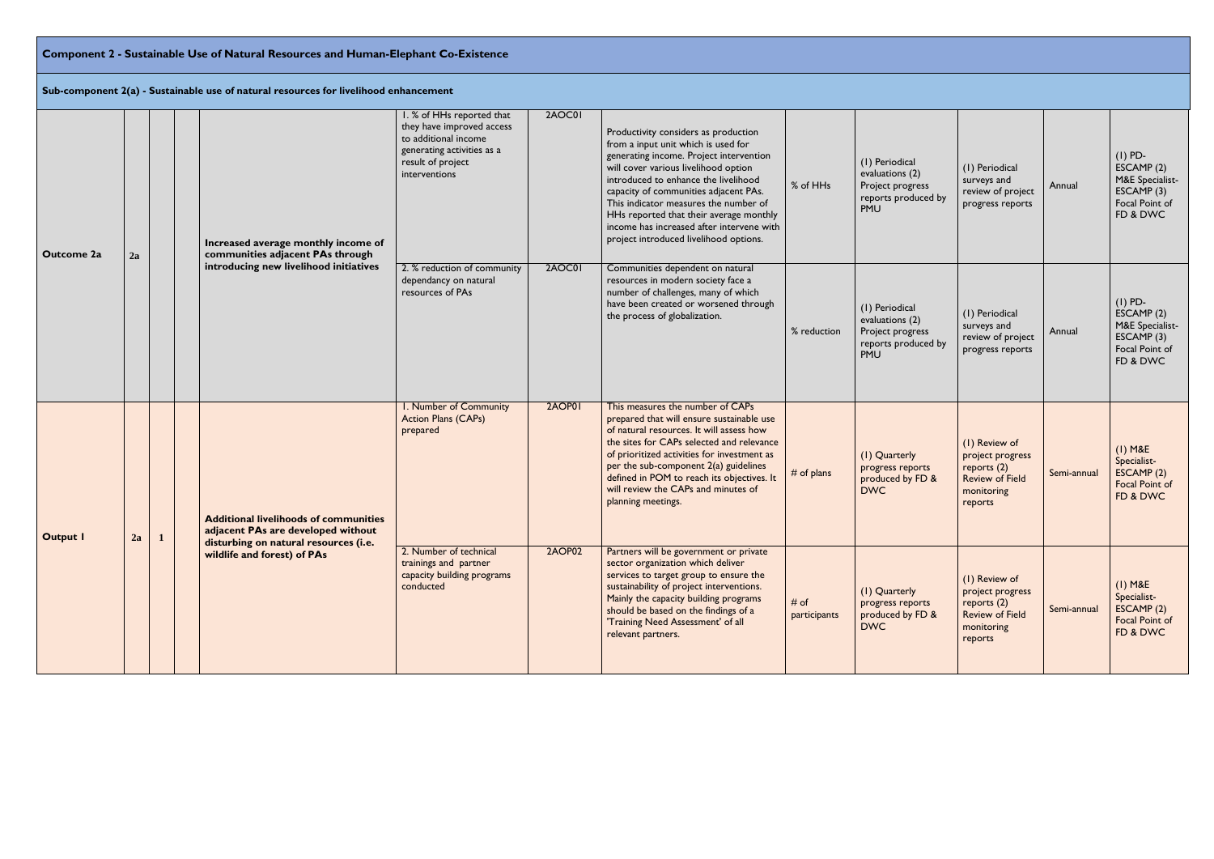# **Component 2 - Sustainable Use of Natural Resources and Human-Elephant Co-Existence**

**Sub-component 2(a) - Sustainable use of natural resources for livelihood enhancement**

| Outcome 2a      | 2a |              | Increased average monthly income of<br>communities adjacent PAs through                                                     | I. % of HHs reported that<br>they have improved access<br>to additional income<br>generating activities as a<br>result of project<br>interventions | 2AOC01        | Productivity considers as production<br>from a input unit which is used for<br>generating income. Project intervention<br>will cover various livelihood option<br>introduced to enhance the livelihood<br>capacity of communities adjacent PAs.<br>This indicator measures the number of<br>HHs reported that their average monthly<br>income has increased after intervene with<br>project introduced livelihood options. | % of HHs             | (1) Periodical<br>evaluations (2)<br>Project progress<br>reports produced by<br>PMU | (1) Periodical<br>surveys and<br>review of project<br>progress reports                                | Annual      | $(I)$ PD-<br>ESCAMP(2)<br>M&E Specialist-<br>ESCAMP(3)<br>Focal Point of<br>FD & DWC  |
|-----------------|----|--------------|-----------------------------------------------------------------------------------------------------------------------------|----------------------------------------------------------------------------------------------------------------------------------------------------|---------------|----------------------------------------------------------------------------------------------------------------------------------------------------------------------------------------------------------------------------------------------------------------------------------------------------------------------------------------------------------------------------------------------------------------------------|----------------------|-------------------------------------------------------------------------------------|-------------------------------------------------------------------------------------------------------|-------------|---------------------------------------------------------------------------------------|
|                 |    |              | introducing new livelihood initiatives                                                                                      | 2. % reduction of community<br>dependancy on natural<br>resources of PAs                                                                           | 2AOC01        | Communities dependent on natural<br>resources in modern society face a<br>number of challenges, many of which<br>have been created or worsened through<br>the process of globalization.                                                                                                                                                                                                                                    | % reduction          | (1) Periodical<br>evaluations (2)<br>Project progress<br>reports produced by<br>PMU | (1) Periodical<br>surveys and<br>review of project<br>progress reports                                | Annual      | $(I)$ PD-<br>ESCAMP (2)<br>M&E Specialist-<br>ESCAMP(3)<br>Focal Point of<br>FD & DWC |
| <b>Output I</b> | 2a | $\mathbf{1}$ | <b>Additional livelihoods of communities</b><br>adjacent PAs are developed without<br>disturbing on natural resources (i.e. | I. Number of Community<br>Action Plans (CAPs)<br>prepared                                                                                          | 2AOP01        | This measures the number of CAPs<br>prepared that will ensure sustainable use<br>of natural resources. It will assess how<br>the sites for CAPs selected and relevance<br>of prioritized activities for investment as<br>per the sub-component 2(a) guidelines<br>defined in POM to reach its objectives. It<br>will review the CAPs and minutes of<br>planning meetings.                                                  | # of plans           | (I) Quarterly<br>progress reports<br>produced by FD &<br><b>DWC</b>                 | (I) Review of<br>project progress<br>reports $(2)$<br><b>Review of Field</b><br>monitoring<br>reports | Semi-annual | $(I)$ M&E<br>Specialist-<br>ESCAMP (2)<br>Focal Point of<br>FD & DWC                  |
|                 |    |              | wildlife and forest) of PAs                                                                                                 | 2. Number of technical<br>trainings and partner<br>capacity building programs<br>conducted                                                         | <b>2AOP02</b> | Partners will be government or private<br>sector organization which deliver<br>services to target group to ensure the<br>sustainability of project interventions.<br>Mainly the capacity building programs<br>should be based on the findings of a<br>'Training Need Assessment' of all<br>relevant partners.                                                                                                              | # of<br>participants | (I) Quarterly<br>progress reports<br>produced by FD &<br><b>DWC</b>                 | (I) Review of<br>project progress<br>reports $(2)$<br><b>Review of Field</b><br>monitoring<br>reports | Semi-annual | $(I)$ M&E<br>Specialist-<br>ESCAMP(2)<br>Focal Point of<br>FD & DWC                   |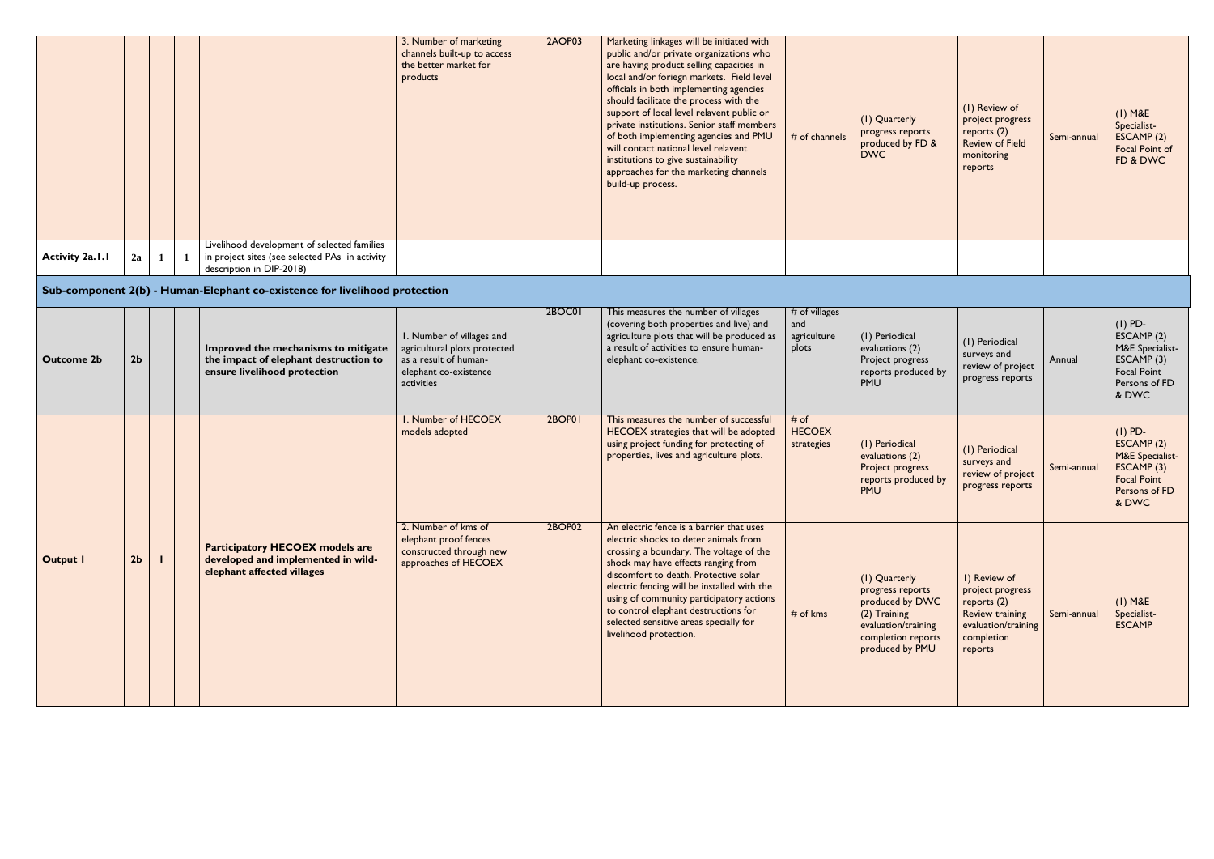|                 |    |  |                                                                                                                           | 3. Number of marketing<br>channels built-up to access<br>the better market for<br>products | 2AOP03 | Marketing linkages will be initiated with<br>public and/or private organizations who<br>are having product selling capacities in<br>local and/or foriegn markets. Field level<br>officials in both implementing agencies<br>should facilitate the process with the<br>support of local level relavent public or<br>private institutions. Senior staff members<br>of both implementing agencies and PMU<br>will contact national level relavent<br>institutions to give sustainability<br>approaches for the marketing channels<br>build-up process. | $#$ of channels | (I) Quarterly<br>progress repo<br>produced by I<br><b>DWC</b> |
|-----------------|----|--|---------------------------------------------------------------------------------------------------------------------------|--------------------------------------------------------------------------------------------|--------|-----------------------------------------------------------------------------------------------------------------------------------------------------------------------------------------------------------------------------------------------------------------------------------------------------------------------------------------------------------------------------------------------------------------------------------------------------------------------------------------------------------------------------------------------------|-----------------|---------------------------------------------------------------|
| Activity 2a.1.1 | 2a |  | Livelihood development of selected families<br>in project sites (see selected PAs in activity<br>description in DIP-2018) |                                                                                            |        |                                                                                                                                                                                                                                                                                                                                                                                                                                                                                                                                                     |                 |                                                               |

### **Sub-component 2(b) - Human-Elephant co-existence for livelihood protection**

|                        |                |   |                                                                                                                           | 3. Number of marketing<br>channels built-up to access<br>the better market for<br>products                                | 2AOP03 | Marketing linkages will be initiated with<br>public and/or private organizations who<br>are having product selling capacities in<br>local and/or foriegn markets. Field level<br>officials in both implementing agencies<br>should facilitate the process with the<br>support of local level relavent public or<br>private institutions. Senior staff members<br>of both implementing agencies and PMU<br>will contact national level relavent<br>institutions to give sustainability<br>approaches for the marketing channels<br>build-up process. | # of channels                                | (I) Quarterly<br>progress reports<br>produced by FD &<br><b>DWC</b>                                                                  | (1) Review of<br>project progress<br>reports $(2)$<br><b>Review of Field</b><br>monitoring<br>reports                     | Semi-annual | $(I)$ M&E<br>Specialist-<br>ESCAMP (2)<br>Focal Point of<br>FD & DWC                                     |
|------------------------|----------------|---|---------------------------------------------------------------------------------------------------------------------------|---------------------------------------------------------------------------------------------------------------------------|--------|-----------------------------------------------------------------------------------------------------------------------------------------------------------------------------------------------------------------------------------------------------------------------------------------------------------------------------------------------------------------------------------------------------------------------------------------------------------------------------------------------------------------------------------------------------|----------------------------------------------|--------------------------------------------------------------------------------------------------------------------------------------|---------------------------------------------------------------------------------------------------------------------------|-------------|----------------------------------------------------------------------------------------------------------|
| <b>Activity 2a.1.1</b> | 2a             | 1 | Livelihood development of selected families<br>in project sites (see selected PAs in activity<br>description in DIP-2018) |                                                                                                                           |        |                                                                                                                                                                                                                                                                                                                                                                                                                                                                                                                                                     |                                              |                                                                                                                                      |                                                                                                                           |             |                                                                                                          |
|                        |                |   | Sub-component 2(b) - Human-Elephant co-existence for livelihood protection                                                |                                                                                                                           |        |                                                                                                                                                                                                                                                                                                                                                                                                                                                                                                                                                     |                                              |                                                                                                                                      |                                                                                                                           |             |                                                                                                          |
| <b>Outcome 2b</b>      | 2 <sub>b</sub> |   | Improved the mechanisms to mitigate<br>the impact of elephant destruction to<br>ensure livelihood protection              | I. Number of villages and<br>agricultural plots protected<br>as a result of human-<br>elephant co-existence<br>activities | 2BOC01 | This measures the number of villages<br>(covering both properties and live) and<br>agriculture plots that will be produced as<br>a result of activities to ensure human-<br>elephant co-existence.                                                                                                                                                                                                                                                                                                                                                  | # of villages<br>and<br>agriculture<br>plots | (1) Periodical<br>evaluations (2)<br>Project progress<br>reports produced by<br>PMU                                                  | (1) Periodical<br>surveys and<br>review of project<br>progress reports                                                    | Annual      | $(I)$ PD-<br>ESCAMP (2)<br>M&E Specialist-<br>ESCAMP (3)<br>Focal Point<br>Persons of FD<br>& DWC        |
|                        |                |   |                                                                                                                           | I. Number of HECOEX<br>models adopted                                                                                     | 2BOP01 | This measures the number of successful<br>HECOEX strategies that will be adopted<br>using project funding for protecting of<br>properties, lives and agriculture plots.                                                                                                                                                                                                                                                                                                                                                                             | # of<br><b>HECOEX</b><br>strategies          | (1) Periodical<br>evaluations (2)<br>Project progress<br>reports produced by<br>PMU                                                  | (1) Periodical<br>surveys and<br>review of project<br>progress reports                                                    | Semi-annual | $(I)$ PD-<br>ESCAMP (2)<br>M&E Specialist-<br>ESCAMP (3)<br><b>Focal Point</b><br>Persons of FD<br>& DWC |
| <b>Output I</b>        | 2 <sub>b</sub> |   | <b>Participatory HECOEX models are</b><br>developed and implemented in wild-<br>elephant affected villages                | 2. Number of kms of<br>elephant proof fences<br>constructed through new<br>approaches of HECOEX                           | 2BOP02 | An electric fence is a barrier that uses<br>electric shocks to deter animals from<br>crossing a boundary. The voltage of the<br>shock may have effects ranging from<br>discomfort to death. Protective solar<br>electric fencing will be installed with the<br>using of community participatory actions<br>to control elephant destructions for<br>selected sensitive areas specially for<br>livelihood protection.                                                                                                                                 | $#$ of kms                                   | (I) Quarterly<br>progress reports<br>produced by DWC<br>(2) Training<br>evaluation/training<br>completion reports<br>produced by PMU | I) Review of<br>project progress<br>reports (2)<br><b>Review training</b><br>evaluation/training<br>completion<br>reports | Semi-annual | $(I)$ M&E<br>Specialist-<br><b>ESCAMP</b>                                                                |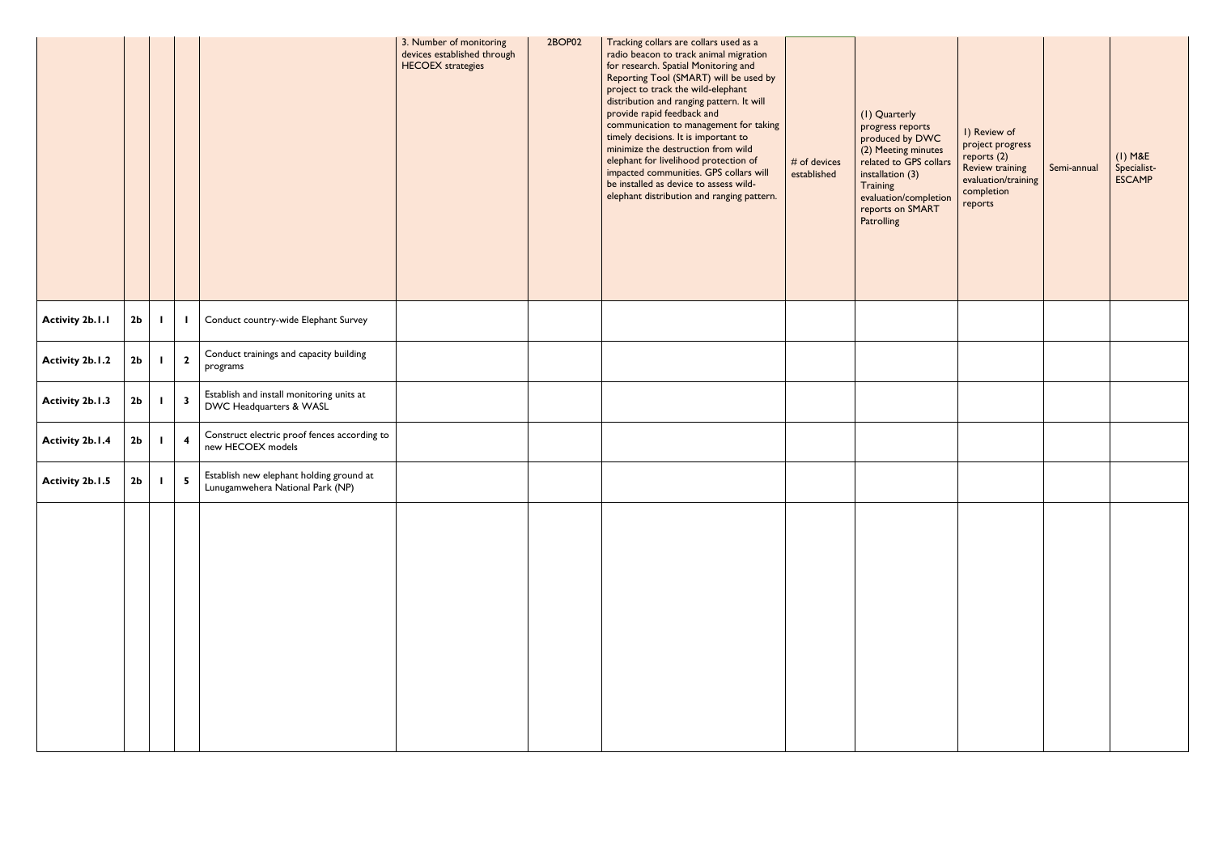|                        |                |                         |                                                                              | 3. Number of monitoring<br>devices established through<br><b>HECOEX</b> strategies | 2BOP02 | Tracking collars are collars used as a<br>radio beacon to track animal migration<br>for research. Spatial Monitoring and<br>Reporting Tool (SMART) will be used by<br>project to track the wild-elephant<br>distribution and ranging pattern. It will<br>provide rapid feedback and<br>communication to management for taking<br>timely decisions. It is important to<br>minimize the destruction from wild<br>elephant for livelihood protection of<br>impacted communities. GPS collars will<br>be installed as device to assess wild-<br>elephant distribution and ranging pattern. | # of devices<br>established | (I) Quarterly<br>progress reports<br>produced by DWC<br>(2) Meeting minutes<br>related to GPS collars<br>installation (3)<br>Training<br>evaluation/completion<br>reports on SMART<br>Patrolling | I) Review of<br>project progress<br>reports $(2)$<br>Review training<br>evaluation/training<br>completion<br>reports | Semi-annual | $(I)$ M&E<br>Specialist-<br><b>ESCAMP</b> |
|------------------------|----------------|-------------------------|------------------------------------------------------------------------------|------------------------------------------------------------------------------------|--------|----------------------------------------------------------------------------------------------------------------------------------------------------------------------------------------------------------------------------------------------------------------------------------------------------------------------------------------------------------------------------------------------------------------------------------------------------------------------------------------------------------------------------------------------------------------------------------------|-----------------------------|--------------------------------------------------------------------------------------------------------------------------------------------------------------------------------------------------|----------------------------------------------------------------------------------------------------------------------|-------------|-------------------------------------------|
| <b>Activity 2b.1.1</b> | 2 <sub>b</sub> |                         | Conduct country-wide Elephant Survey                                         |                                                                                    |        |                                                                                                                                                                                                                                                                                                                                                                                                                                                                                                                                                                                        |                             |                                                                                                                                                                                                  |                                                                                                                      |             |                                           |
| <b>Activity 2b.1.2</b> | 2 <sub>b</sub> | $\overline{\mathbf{2}}$ | Conduct trainings and capacity building<br>programs                          |                                                                                    |        |                                                                                                                                                                                                                                                                                                                                                                                                                                                                                                                                                                                        |                             |                                                                                                                                                                                                  |                                                                                                                      |             |                                           |
| <b>Activity 2b.1.3</b> | 2 <sub>b</sub> | - 3                     | Establish and install monitoring units at<br>DWC Headquarters & WASL         |                                                                                    |        |                                                                                                                                                                                                                                                                                                                                                                                                                                                                                                                                                                                        |                             |                                                                                                                                                                                                  |                                                                                                                      |             |                                           |
| <b>Activity 2b.1.4</b> | 2 <sub>b</sub> | $\overline{\mathbf{4}}$ | Construct electric proof fences according to<br>new HECOEX models            |                                                                                    |        |                                                                                                                                                                                                                                                                                                                                                                                                                                                                                                                                                                                        |                             |                                                                                                                                                                                                  |                                                                                                                      |             |                                           |
| <b>Activity 2b.1.5</b> | 2 <sub>b</sub> | $\overline{\mathbf{5}}$ | Establish new elephant holding ground at<br>Lunugamwehera National Park (NP) |                                                                                    |        |                                                                                                                                                                                                                                                                                                                                                                                                                                                                                                                                                                                        |                             |                                                                                                                                                                                                  |                                                                                                                      |             |                                           |
|                        |                |                         |                                                                              |                                                                                    |        |                                                                                                                                                                                                                                                                                                                                                                                                                                                                                                                                                                                        |                             |                                                                                                                                                                                                  |                                                                                                                      |             |                                           |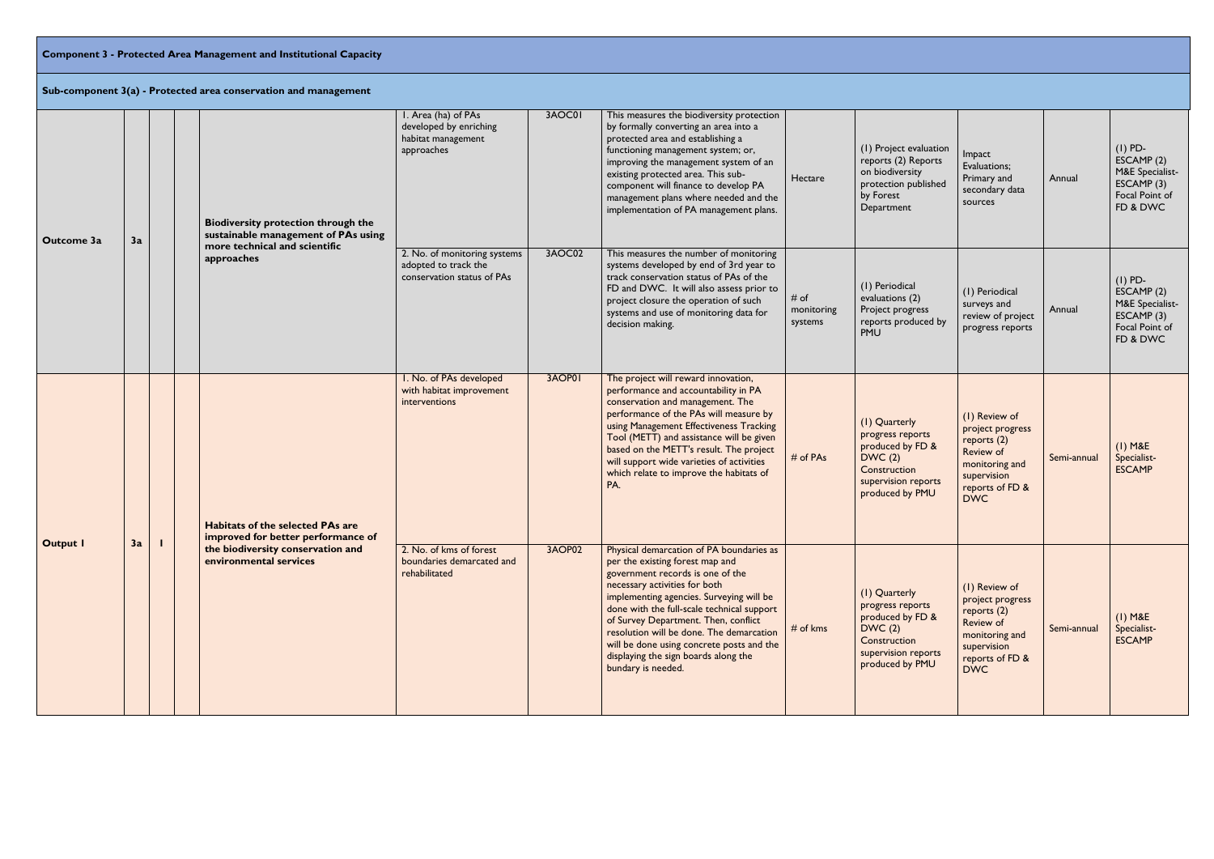# **Component 3 - Protected Area Management and Institutional Capacity**

|                 |    |  | Sub-component 3(a) - Protected area conservation and management                                                    |                                                                                    |        |                                                                                                                                                                                                                                                                                                                                                                                                                                           |                               |                                                                                                                           |                                                                                                                                   |             |                                                                                        |
|-----------------|----|--|--------------------------------------------------------------------------------------------------------------------|------------------------------------------------------------------------------------|--------|-------------------------------------------------------------------------------------------------------------------------------------------------------------------------------------------------------------------------------------------------------------------------------------------------------------------------------------------------------------------------------------------------------------------------------------------|-------------------------------|---------------------------------------------------------------------------------------------------------------------------|-----------------------------------------------------------------------------------------------------------------------------------|-------------|----------------------------------------------------------------------------------------|
| Outcome 3a      | 3a |  | <b>Biodiversity protection through the</b><br>sustainable management of PAs using<br>more technical and scientific | I. Area (ha) of PAs<br>developed by enriching<br>habitat management<br>approaches  | 3AOC01 | This measures the biodiversity protection<br>by formally converting an area into a<br>protected area and establishing a<br>functioning management system; or,<br>improving the management system of an<br>existing protected area. This sub-<br>component will finance to develop PA<br>management plans where needed and the<br>implementation of PA management plans.                                                                   | Hectare                       | (1) Project evaluation<br>reports (2) Reports<br>on biodiversity<br>protection published<br>by Forest<br>Department       | Impact<br>Evaluations;<br>Primary and<br>secondary data<br>sources                                                                | Annual      | $(I)$ PD-<br>ESCAMP (2)<br>M&E Specialist-<br>ESCAMP (3)<br>Focal Point of<br>FD & DWC |
|                 |    |  | approaches                                                                                                         | 2. No. of monitoring systems<br>adopted to track the<br>conservation status of PAs | 3AOC02 | This measures the number of monitoring<br>systems developed by end of 3rd year to<br>track conservation status of PAs of the<br>FD and DWC. It will also assess prior to<br>project closure the operation of such<br>systems and use of monitoring data for<br>decision making.                                                                                                                                                           | # of<br>monitoring<br>systems | (1) Periodical<br>evaluations (2)<br>Project progress<br>reports produced by<br>PMU                                       | (1) Periodical<br>surveys and<br>review of project<br>progress reports                                                            | Annual      | $(I)$ PD-<br>ESCAMP (2)<br>M&E Specialist-<br>ESCAMP(3)<br>Focal Point of<br>FD & DWC  |
| <b>Output I</b> |    |  | <b>Habitats of the selected PAs are</b><br>improved for better performance of                                      | I. No. of PAs developed<br>with habitat improvement<br>interventions               | 3AOP01 | The project will reward innovation,<br>performance and accountability in PA<br>conservation and management. The<br>performance of the PAs will measure by<br>using Management Effectiveness Tracking<br>Tool (METT) and assistance will be given<br>based on the METT's result. The project<br>will support wide varieties of activities<br>which relate to improve the habitats of<br>PA.                                                | # of PAs                      | (1) Quarterly<br>progress reports<br>produced by FD &<br>DWC(2)<br>Construction<br>supervision reports<br>produced by PMU | (1) Review of<br>project progress<br>reports $(2)$<br>Review of<br>monitoring and<br>supervision<br>reports of FD &<br><b>DWC</b> | Semi-annual | $(I)$ M&E<br>Specialist-<br><b>ESCAMP</b>                                              |
|                 | 3a |  | the biodiversity conservation and<br>environmental services                                                        | 2. No. of kms of forest<br>boundaries demarcated and<br>rehabilitated              | 3AOP02 | Physical demarcation of PA boundaries as<br>per the existing forest map and<br>government records is one of the<br>necessary activities for both<br>implementing agencies. Surveying will be<br>done with the full-scale technical support<br>of Survey Department. Then, conflict<br>resolution will be done. The demarcation<br>will be done using concrete posts and the<br>displaying the sign boards along the<br>bundary is needed. | $#$ of kms                    | (I) Quarterly<br>progress reports<br>produced by FD &<br>DWC(2)<br>Construction<br>supervision reports<br>produced by PMU | (I) Review of<br>project progress<br>reports $(2)$<br>Review of<br>monitoring and<br>supervision<br>reports of FD &<br><b>DWC</b> | Semi-annual | $(I)$ M&E<br>Specialist-<br><b>ESCAMP</b>                                              |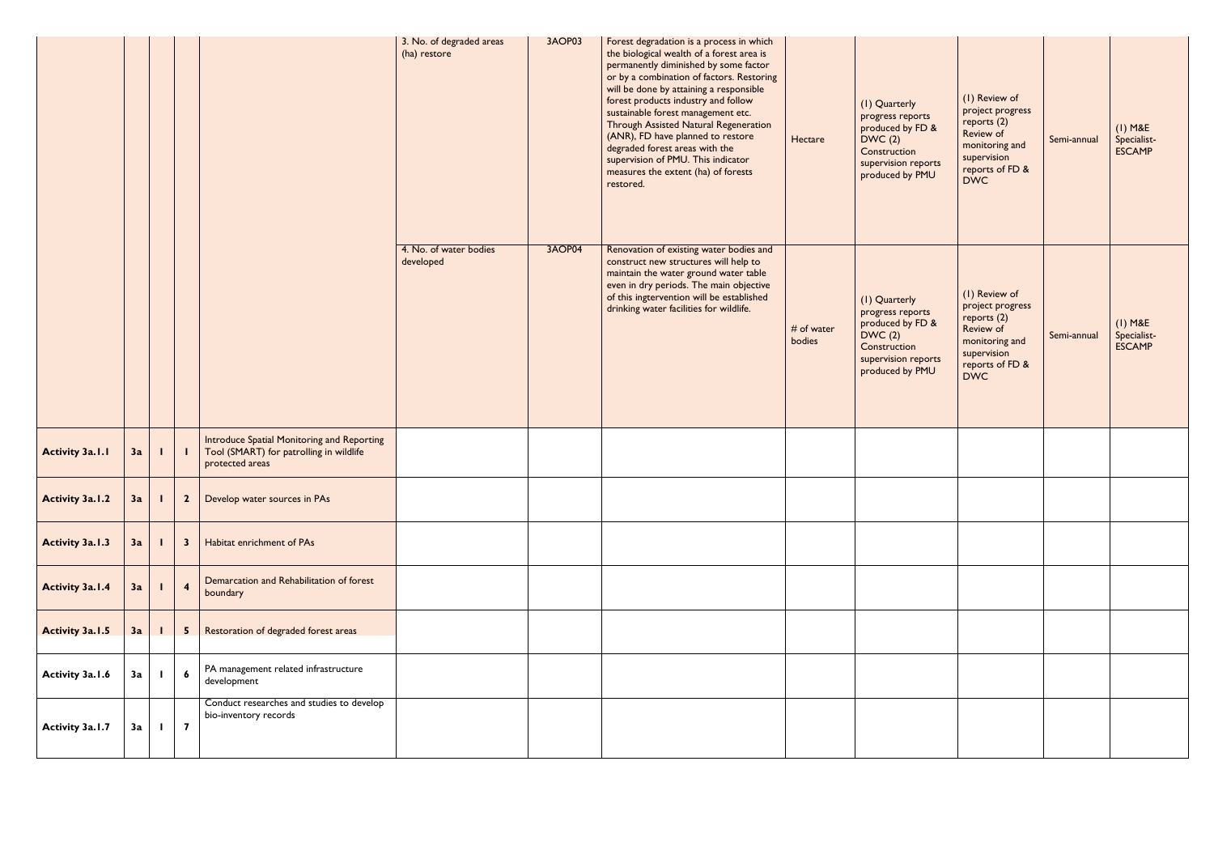|                        |    |              |                         |                                                                                                          | 3. No. of degraded areas<br>(ha) restore | 3AOP03 | Forest degradation is a process in which<br>the biological wealth of a forest area is<br>permanently diminished by some factor<br>or by a combination of factors. Restoring<br>will be done by attaining a responsible<br>forest products industry and follow<br>sustainable forest management etc.<br>Through Assisted Natural Regeneration<br>(ANR), FD have planned to restore<br>degraded forest areas with the<br>supervision of PMU. This indicator<br>measures the extent (ha) of forests<br>restored. | Hectare              | (I) Quarterly<br>progress reports<br>produced by FD &<br>DWC(2)<br>Construction<br>supervision reports<br>produced by PMU | (I) Review of<br>project progress<br>reports (2)<br>Review of<br>monitoring and<br>supervision<br>reports of FD &<br><b>DWC</b> | Semi-annual | $(I)$ M&E<br>Specialist-<br><b>ESCAMP</b> |
|------------------------|----|--------------|-------------------------|----------------------------------------------------------------------------------------------------------|------------------------------------------|--------|---------------------------------------------------------------------------------------------------------------------------------------------------------------------------------------------------------------------------------------------------------------------------------------------------------------------------------------------------------------------------------------------------------------------------------------------------------------------------------------------------------------|----------------------|---------------------------------------------------------------------------------------------------------------------------|---------------------------------------------------------------------------------------------------------------------------------|-------------|-------------------------------------------|
|                        |    |              |                         |                                                                                                          | 4. No. of water bodies<br>developed      | 3AOP04 | Renovation of existing water bodies and<br>construct new structures will help to<br>maintain the water ground water table<br>even in dry periods. The main objective<br>of this ingtervention will be established<br>drinking water facilities for wildlife.                                                                                                                                                                                                                                                  | # of water<br>bodies | (I) Quarterly<br>progress reports<br>produced by FD &<br>DWC(2)<br>Construction<br>supervision reports<br>produced by PMU | (I) Review of<br>project progress<br>reports (2)<br>Review of<br>monitoring and<br>supervision<br>reports of FD &<br><b>DWC</b> | Semi-annual | $(I)$ M&E<br>Specialist-<br><b>ESCAMP</b> |
| <b>Activity 3a.1.1</b> | 3a |              |                         | Introduce Spatial Monitoring and Reporting<br>Tool (SMART) for patrolling in wildlife<br>protected areas |                                          |        |                                                                                                                                                                                                                                                                                                                                                                                                                                                                                                               |                      |                                                                                                                           |                                                                                                                                 |             |                                           |
| <b>Activity 3a.1.2</b> | 3a | $\mathbf{I}$ | $\overline{\mathbf{2}}$ | Develop water sources in PAs                                                                             |                                          |        |                                                                                                                                                                                                                                                                                                                                                                                                                                                                                                               |                      |                                                                                                                           |                                                                                                                                 |             |                                           |
| <b>Activity 3a.1.3</b> | 3a |              | $\mathbf{3}$            | Habitat enrichment of PAs                                                                                |                                          |        |                                                                                                                                                                                                                                                                                                                                                                                                                                                                                                               |                      |                                                                                                                           |                                                                                                                                 |             |                                           |
| <b>Activity 3a.1.4</b> | 3a |              | $\overline{\mathbf{4}}$ | Demarcation and Rehabilitation of forest<br>boundary                                                     |                                          |        |                                                                                                                                                                                                                                                                                                                                                                                                                                                                                                               |                      |                                                                                                                           |                                                                                                                                 |             |                                           |
| <b>Activity 3a.1.5</b> | 3a |              | 5 <sub>5</sub>          | Restoration of degraded forest areas                                                                     |                                          |        |                                                                                                                                                                                                                                                                                                                                                                                                                                                                                                               |                      |                                                                                                                           |                                                                                                                                 |             |                                           |
| <b>Activity 3a.1.6</b> | 3a |              | $\boldsymbol{6}$        | PA management related infrastructure<br>development                                                      |                                          |        |                                                                                                                                                                                                                                                                                                                                                                                                                                                                                                               |                      |                                                                                                                           |                                                                                                                                 |             |                                           |
| Activity 3a.1.7        | 3a | $\mathbf{I}$ | $\overline{\mathbf{7}}$ | Conduct researches and studies to develop<br>bio-inventory records                                       |                                          |        |                                                                                                                                                                                                                                                                                                                                                                                                                                                                                                               |                      |                                                                                                                           |                                                                                                                                 |             |                                           |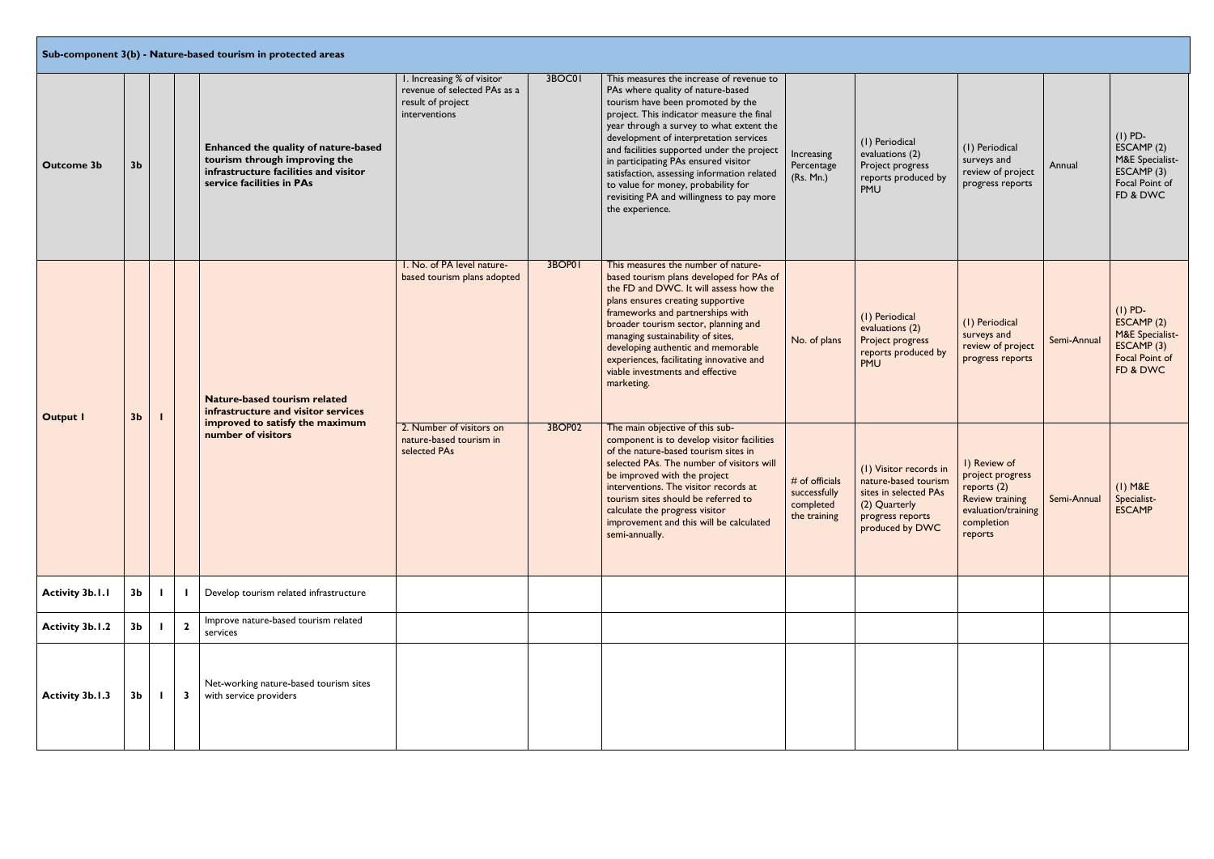|                                                                     |                |                         | Sub-component 3(b) - Nature-based tourism in protected areas                                                                                |                                                                                                  |        |                                                                                                                                                                                                                                                                                                                                                                                                                                                                                                   |                                                             |                                                                                                                                 |                                                                                                                           |             |                                                                                                  |
|---------------------------------------------------------------------|----------------|-------------------------|---------------------------------------------------------------------------------------------------------------------------------------------|--------------------------------------------------------------------------------------------------|--------|---------------------------------------------------------------------------------------------------------------------------------------------------------------------------------------------------------------------------------------------------------------------------------------------------------------------------------------------------------------------------------------------------------------------------------------------------------------------------------------------------|-------------------------------------------------------------|---------------------------------------------------------------------------------------------------------------------------------|---------------------------------------------------------------------------------------------------------------------------|-------------|--------------------------------------------------------------------------------------------------|
| <b>Outcome 3b</b>                                                   | 3 <sub>b</sub> |                         | Enhanced the quality of nature-based<br>tourism through improving the<br>infrastructure facilities and visitor<br>service facilities in PAs | I. Increasing % of visitor<br>revenue of selected PAs as a<br>result of project<br>interventions | 3BOC01 | This measures the increase of revenue to<br>PAs where quality of nature-based<br>tourism have been promoted by the<br>project. This indicator measure the final<br>year through a survey to what extent the<br>development of interpretation services<br>and facilities supported under the project<br>in participating PAs ensured visitor<br>satisfaction, assessing information related<br>to value for money, probability for<br>revisiting PA and willingness to pay more<br>the experience. | Increasing<br>Percentage<br>(Rs. Mn.)                       | (1) Periodical<br>evaluations (2)<br>Project progress<br>reports produced by<br>PMU                                             | (1) Periodical<br>surveys and<br>review of project<br>progress reports                                                    | Annual      | $(I)$ PD-<br>ESCAMP(2)<br>M&E Specialist-<br>ESCAMP(3)<br>Focal Point of<br>FD & DWC             |
| <b>Output I</b><br><b>Activity 3b.1.1</b><br><b>Activity 3b.1.2</b> | 3 <sub>b</sub> |                         | Nature-based tourism related<br>infrastructure and visitor services                                                                         | I. No. of PA level nature-<br>based tourism plans adopted                                        | 3BOP01 | This measures the number of nature-<br>based tourism plans developed for PAs of<br>the FD and DWC. It will assess how the<br>plans ensures creating supportive<br>frameworks and partnerships with<br>broader tourism sector, planning and<br>managing sustainability of sites,<br>developing authentic and memorable<br>experiences, facilitating innovative and<br>viable investments and effective<br>marketing.                                                                               | No. of plans                                                | (1) Periodical<br>evaluations (2)<br>Project progress<br>reports produced by<br>PMU                                             | (1) Periodical<br>surveys and<br>review of project<br>progress reports                                                    | Semi-Annual | $(I)$ PD-<br>ESCAMP (2)<br><b>M&amp;E</b> Specialist-<br>ESCAMP(3)<br>Focal Point of<br>FD & DWC |
|                                                                     |                |                         | improved to satisfy the maximum<br>number of visitors                                                                                       | 2. Number of visitors on<br>nature-based tourism in<br>selected PAs                              | 3BOP02 | The main objective of this sub-<br>component is to develop visitor facilities<br>of the nature-based tourism sites in<br>selected PAs. The number of visitors will<br>be improved with the project<br>interventions. The visitor records at<br>tourism sites should be referred to<br>calculate the progress visitor<br>improvement and this will be calculated<br>semi-annually.                                                                                                                 | # of officials<br>successfully<br>completed<br>the training | (1) Visitor records in<br>nature-based tourism<br>sites in selected PAs<br>(2) Quarterly<br>progress reports<br>produced by DWC | I) Review of<br>project progress<br>reports (2)<br><b>Review training</b><br>evaluation/training<br>completion<br>reports | Semi-Annual | $(I)$ M&E<br>Specialist-<br><b>ESCAMP</b>                                                        |
|                                                                     | 3 <sub>b</sub> |                         | Develop tourism related infrastructure                                                                                                      |                                                                                                  |        |                                                                                                                                                                                                                                                                                                                                                                                                                                                                                                   |                                                             |                                                                                                                                 |                                                                                                                           |             |                                                                                                  |
|                                                                     | 3 <sub>b</sub> | $\mathbf{2}$            | Improve nature-based tourism related<br>services                                                                                            |                                                                                                  |        |                                                                                                                                                                                                                                                                                                                                                                                                                                                                                                   |                                                             |                                                                                                                                 |                                                                                                                           |             |                                                                                                  |
| <b>Activity 3b.1.3</b>                                              | 3 <sub>b</sub> | $\overline{\mathbf{3}}$ | Net-working nature-based tourism sites<br>with service providers                                                                            |                                                                                                  |        |                                                                                                                                                                                                                                                                                                                                                                                                                                                                                                   |                                                             |                                                                                                                                 |                                                                                                                           |             |                                                                                                  |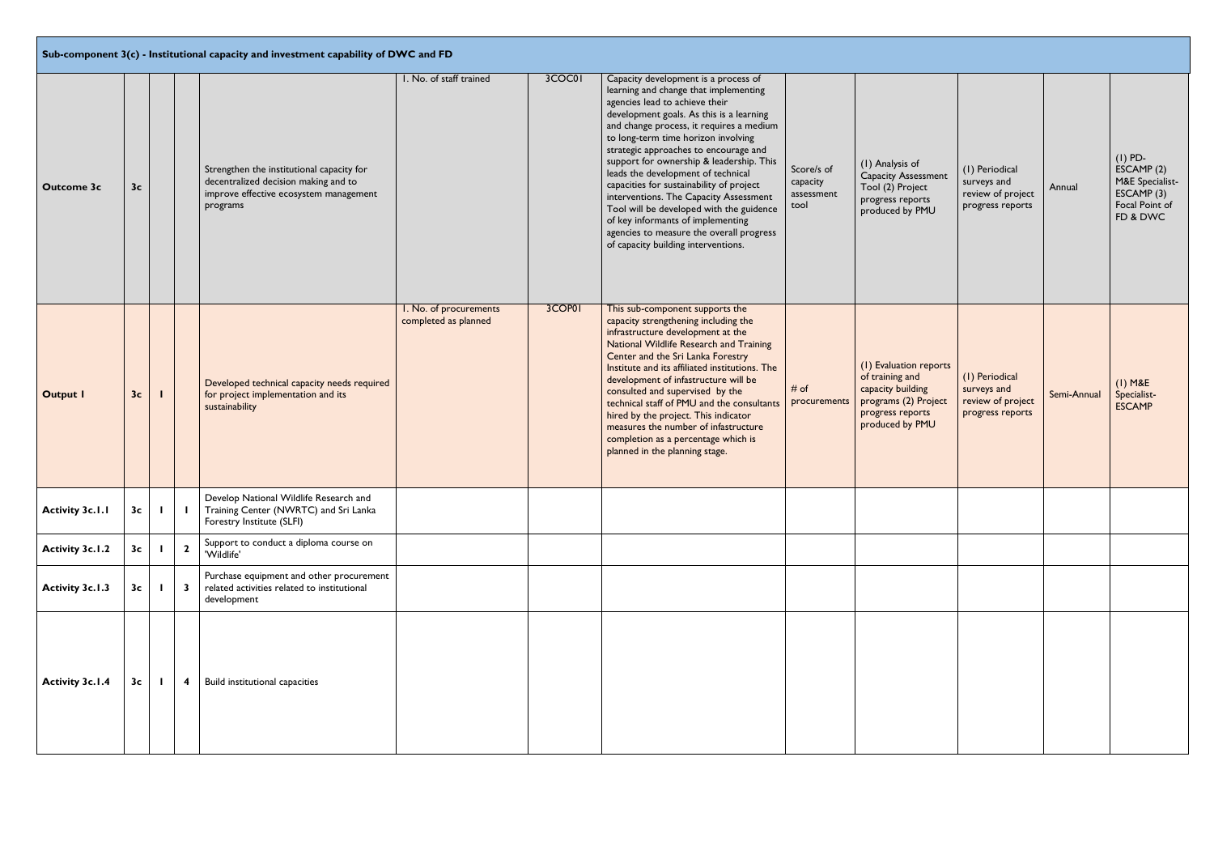**Sub-component 3(c) - Institutional capacity and investment capability of DWC and FD**

|                        |                |              |                         | $\mid$ Sub-component 3(c) - Institutional capacity and investment capability of DWC and FD                                              |                                                |        |                                                                                                                                                                                                                                                                                                                                                                                                                                                                                                                                                                                                                                     |                                              |                                                                                                                               |                                                                        |             |                                                                                      |
|------------------------|----------------|--------------|-------------------------|-----------------------------------------------------------------------------------------------------------------------------------------|------------------------------------------------|--------|-------------------------------------------------------------------------------------------------------------------------------------------------------------------------------------------------------------------------------------------------------------------------------------------------------------------------------------------------------------------------------------------------------------------------------------------------------------------------------------------------------------------------------------------------------------------------------------------------------------------------------------|----------------------------------------------|-------------------------------------------------------------------------------------------------------------------------------|------------------------------------------------------------------------|-------------|--------------------------------------------------------------------------------------|
| <b>Outcome 3c</b>      | 3 <sub>c</sub> |              |                         | Strengthen the institutional capacity for<br>decentralized decision making and to<br>improve effective ecosystem management<br>programs | I. No. of staff trained                        | 3COC01 | Capacity development is a process of<br>learning and change that implementing<br>agencies lead to achieve their<br>development goals. As this is a learning<br>and change process, it requires a medium<br>to long-term time horizon involving<br>strategic approaches to encourage and<br>support for ownership & leadership. This<br>leads the development of technical<br>capacities for sustainability of project<br>interventions. The Capacity Assessment<br>Tool will be developed with the guidence<br>of key informants of implementing<br>agencies to measure the overall progress<br>of capacity building interventions. | Score/s of<br>capacity<br>assessment<br>tool | (1) Analysis of<br><b>Capacity Assessment</b><br>Tool (2) Project<br>progress reports<br>produced by PMU                      | (1) Periodical<br>surveys and<br>review of project<br>progress reports | Annual      | $(I)$ PD-<br>ESCAMP(2)<br>M&E Specialist-<br>ESCAMP(3)<br>Focal Point of<br>FD & DWC |
| <b>Output I</b>        | 3 <sub>c</sub> |              |                         | Developed technical capacity needs required<br>for project implementation and its<br>sustainability                                     | I. No. of procurements<br>completed as planned | 3COP01 | This sub-component supports the<br>capacity strengthening including the<br>infrastructure development at the<br>National Wildlife Research and Training<br>Center and the Sri Lanka Forestry<br>Institute and its affiliated institutions. The<br>development of infastructure will be<br>consulted and supervised by the<br>technical staff of PMU and the consultants<br>hired by the project. This indicator<br>measures the number of infastructure<br>completion as a percentage which is<br>planned in the planning stage.                                                                                                    | # of<br>procurements                         | (1) Evaluation reports<br>of training and<br>capacity building<br>programs (2) Project<br>progress reports<br>produced by PMU | (I) Periodical<br>surveys and<br>review of project<br>progress reports | Semi-Annual | $(1)$ M&E<br>Specialist-<br><b>ESCAMP</b>                                            |
| <b>Activity 3c.1.1</b> |                | $3c$   1     |                         | Develop National Wildlife Research and<br>Training Center (NWRTC) and Sri Lanka<br>Forestry Institute (SLFI)                            |                                                |        |                                                                                                                                                                                                                                                                                                                                                                                                                                                                                                                                                                                                                                     |                                              |                                                                                                                               |                                                                        |             |                                                                                      |
| <b>Activity 3c.1.2</b> | 3c             |              | $\overline{\mathbf{2}}$ | Support to conduct a diploma course on<br>'Wildlife'                                                                                    |                                                |        |                                                                                                                                                                                                                                                                                                                                                                                                                                                                                                                                                                                                                                     |                                              |                                                                                                                               |                                                                        |             |                                                                                      |
| <b>Activity 3c.1.3</b> | 3c             | $\mathbf{I}$ | $\overline{\mathbf{3}}$ | Purchase equipment and other procurement<br>related activities related to institutional<br>development                                  |                                                |        |                                                                                                                                                                                                                                                                                                                                                                                                                                                                                                                                                                                                                                     |                                              |                                                                                                                               |                                                                        |             |                                                                                      |
| <b>Activity 3c.1.4</b> | 3c             |              | -4                      | <b>Build institutional capacities</b>                                                                                                   |                                                |        |                                                                                                                                                                                                                                                                                                                                                                                                                                                                                                                                                                                                                                     |                                              |                                                                                                                               |                                                                        |             |                                                                                      |